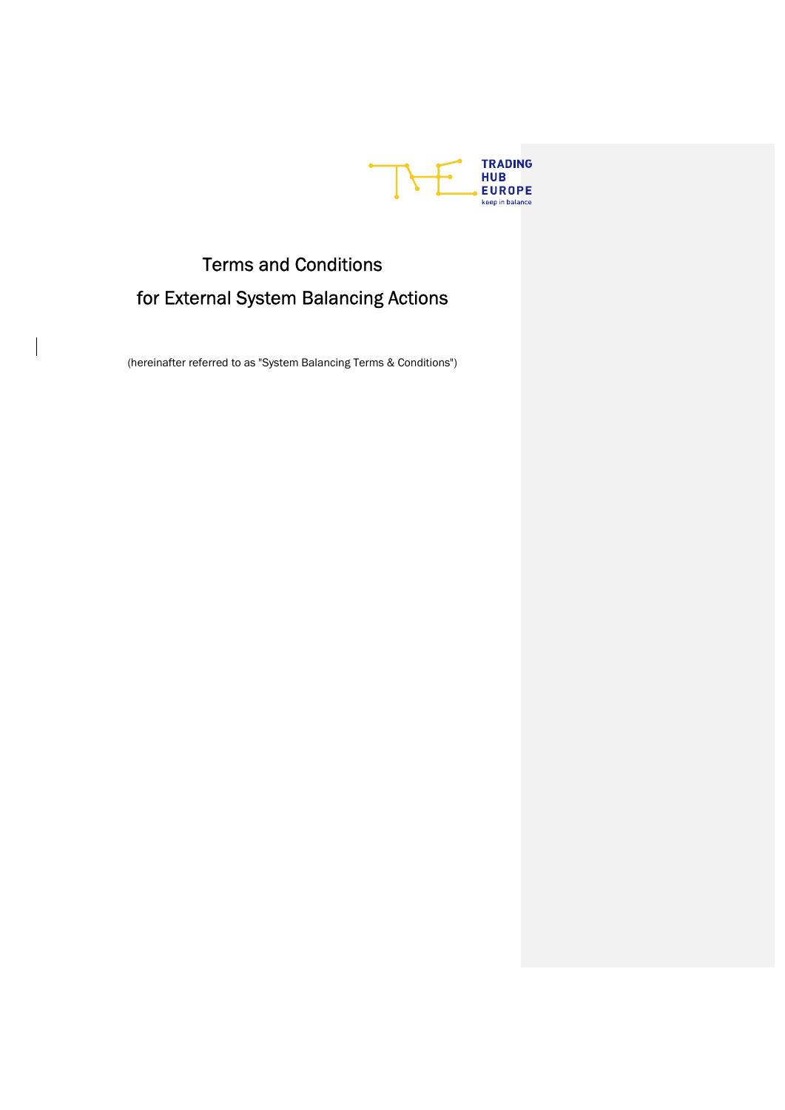

# Terms and Conditions for External System Balancing Actions

(hereinafter referred to as "System Balancing Terms & Conditions")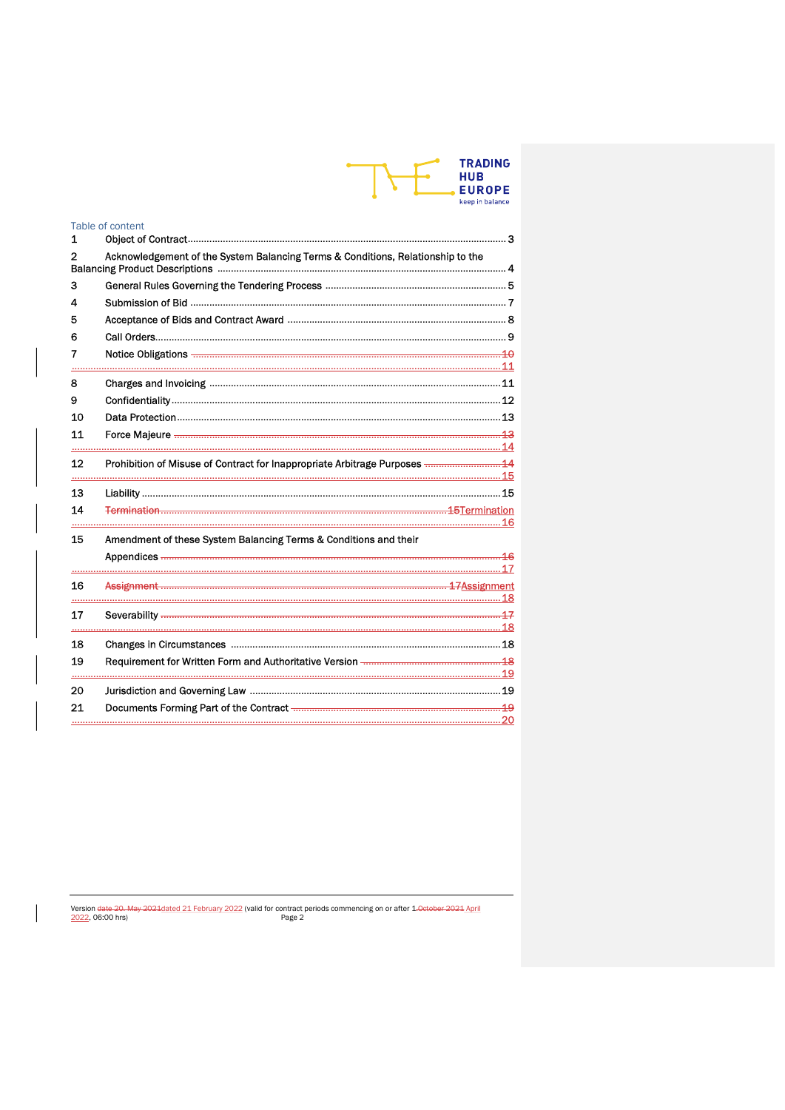|  | <b>TRADING</b><br><b>HUB</b><br><b>EUROPE</b> |
|--|-----------------------------------------------|
|  | keep in balance                               |

|    | Table of content                                                                |    |
|----|---------------------------------------------------------------------------------|----|
| 1  |                                                                                 |    |
| 2  | Acknowledgement of the System Balancing Terms & Conditions, Relationship to the |    |
| з  |                                                                                 |    |
| 4  |                                                                                 |    |
| 5  |                                                                                 |    |
| 6  |                                                                                 |    |
| 7  |                                                                                 |    |
|    |                                                                                 |    |
| 8  |                                                                                 |    |
| 9  |                                                                                 |    |
| 10 |                                                                                 |    |
| 11 |                                                                                 |    |
|    |                                                                                 |    |
| 12 | Prohibition of Misuse of Contract for Inappropriate Arbitrage Purposes  44      |    |
| 13 |                                                                                 |    |
| 14 |                                                                                 |    |
|    |                                                                                 | 16 |
| 15 | Amendment of these System Balancing Terms & Conditions and their                |    |
|    |                                                                                 |    |
|    |                                                                                 |    |
| 16 |                                                                                 |    |
|    |                                                                                 |    |
| 17 |                                                                                 |    |
| 18 |                                                                                 |    |
| 19 |                                                                                 |    |
|    |                                                                                 |    |
| 20 |                                                                                 |    |
| 21 |                                                                                 |    |
|    |                                                                                 |    |

Version date 20-May 2021dated 21 February 2022 (valid for contract periods commencing on or after 1-0eteber 2021 April<br>2022, 06:00 hrs)<br>Page 2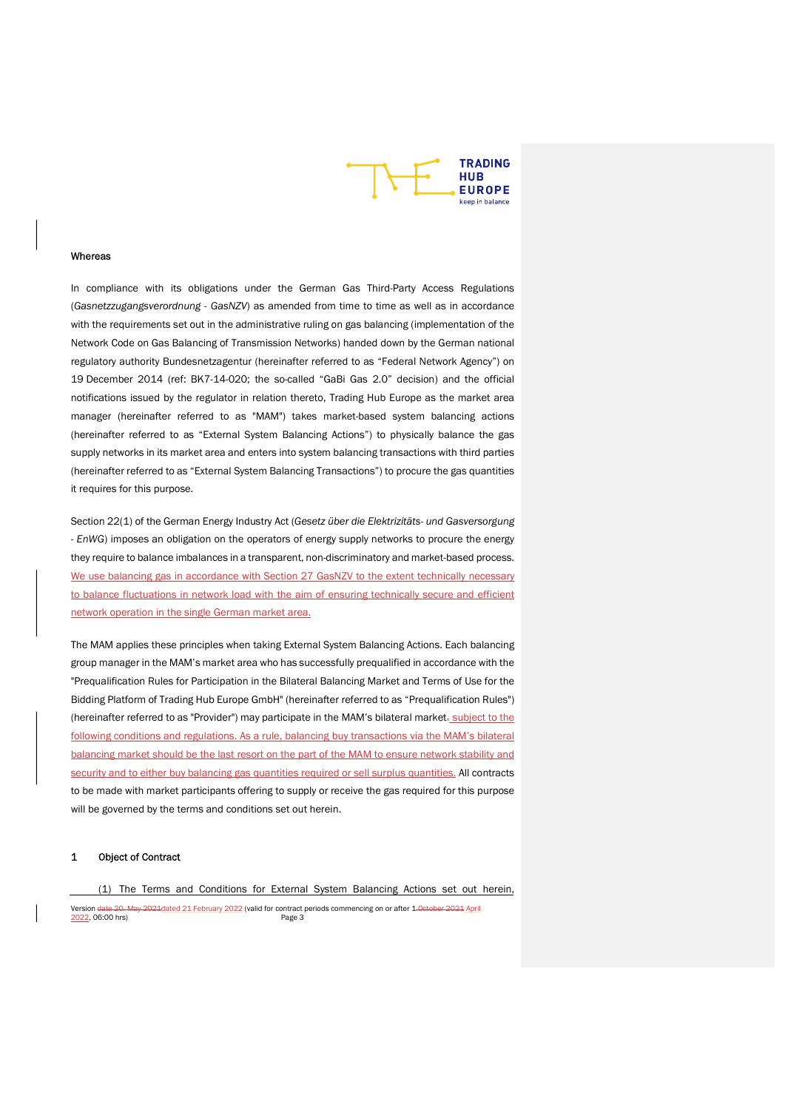

#### Whereas

In compliance with its obligations under the German Gas Third-Party Access Regulations (Gasnetzzugangsverordnung - GasNZV) as amended from time to time as well as in accordance with the requirements set out in the administrative ruling on gas balancing (implementation of the Network Code on Gas Balancing of Transmission Networks) handed down by the German national regulatory authority Bundesnetzagentur (hereinafter referred to as "Federal Network Agency") on 19 December 2014 (ref: BK7-14-020; the so-called "GaBi Gas 2.0" decision) and the official notifications issued by the regulator in relation thereto, Trading Hub Europe as the market area manager (hereinafter referred to as "MAM") takes market-based system balancing actions (hereinafter referred to as "External System Balancing Actions") to physically balance the gas supply networks in its market area and enters into system balancing transactions with third parties (hereinafter referred to as "External System Balancing Transactions") to procure the gas quantities it requires for this purpose.

Section 22(1) of the German Energy Industry Act (Gesetz über die Elektrizitäts- und Gasversorgung - EnWG) imposes an obligation on the operators of energy supply networks to procure the energy they require to balance imbalances in a transparent, non-discriminatory and market-based process. We use balancing gas in accordance with Section 27 GasNZV to the extent technically necessary to balance fluctuations in network load with the aim of ensuring technically secure and efficient network operation in the single German market area.

The MAM applies these principles when taking External System Balancing Actions. Each balancing group manager in the MAM's market area who has successfully prequalified in accordance with the "Prequalification Rules for Participation in the Bilateral Balancing Market and Terms of Use for the Bidding Platform of Trading Hub Europe GmbH" (hereinafter referred to as "Prequalification Rules") (hereinafter referred to as "Provider") may participate in the MAM's bilateral market. subject to the following conditions and regulations. As a rule, balancing buy transactions via the MAM's bilateral balancing market should be the last resort on the part of the MAM to ensure network stability and security and to either buy balancing gas quantities required or sell surplus quantities. All contracts to be made with market participants offering to supply or receive the gas required for this purpose will be governed by the terms and conditions set out herein.

# 1 Object of Contract

#### (1) The Terms and Conditions for External System Balancing Actions set out herein,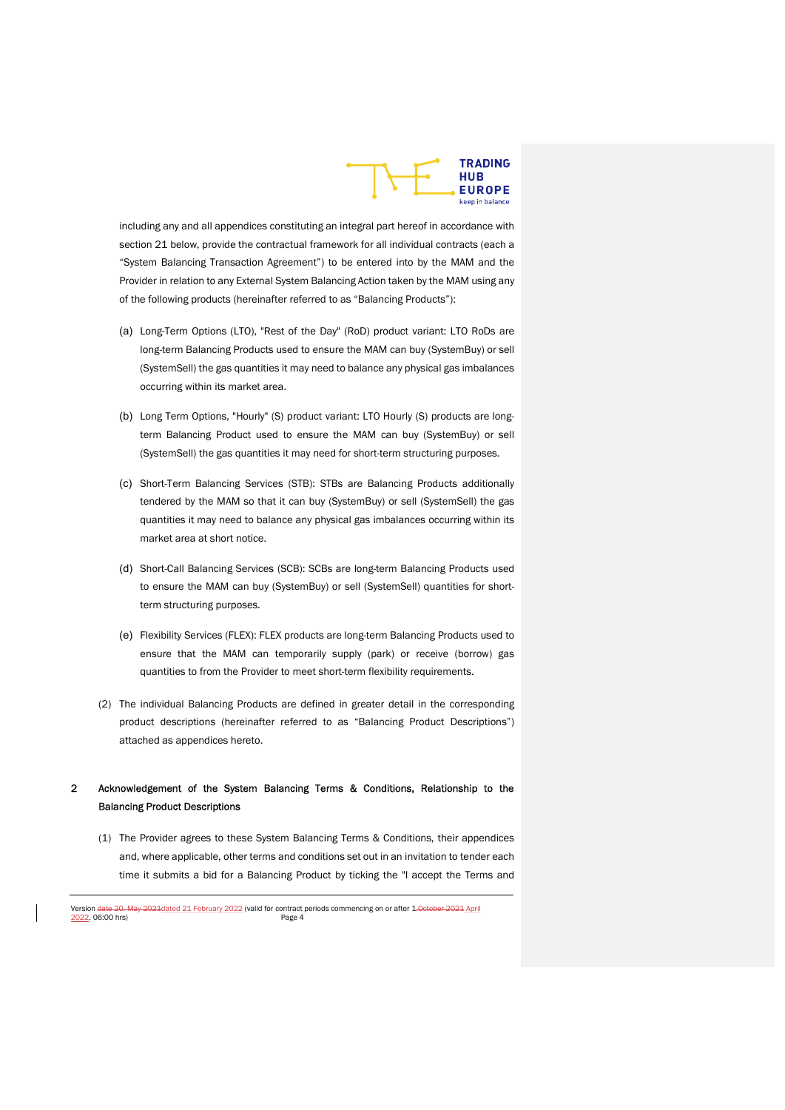

including any and all appendices constituting an integral part hereof in accordance with section 21 below, provide the contractual framework for all individual contracts (each a "System Balancing Transaction Agreement") to be entered into by the MAM and the Provider in relation to any External System Balancing Action taken by the MAM using any of the following products (hereinafter referred to as "Balancing Products"):

- (a) Long-Term Options (LTO), "Rest of the Day" (RoD) product variant: LTO RoDs are long-term Balancing Products used to ensure the MAM can buy (SystemBuy) or sell (SystemSell) the gas quantities it may need to balance any physical gas imbalances occurring within its market area.
- (b) Long Term Options, "Hourly" (S) product variant: LTO Hourly (S) products are longterm Balancing Product used to ensure the MAM can buy (SystemBuy) or sell (SystemSell) the gas quantities it may need for short-term structuring purposes.
- (c) Short-Term Balancing Services (STB): STBs are Balancing Products additionally tendered by the MAM so that it can buy (SystemBuy) or sell (SystemSell) the gas quantities it may need to balance any physical gas imbalances occurring within its market area at short notice.
- (d) Short-Call Balancing Services (SCB): SCBs are long-term Balancing Products used to ensure the MAM can buy (SystemBuy) or sell (SystemSell) quantities for shortterm structuring purposes.
- (e) Flexibility Services (FLEX): FLEX products are long-term Balancing Products used to ensure that the MAM can temporarily supply (park) or receive (borrow) gas quantities to from the Provider to meet short-term flexibility requirements.
- (2) The individual Balancing Products are defined in greater detail in the corresponding product descriptions (hereinafter referred to as "Balancing Product Descriptions") attached as appendices hereto.

# 2 Acknowledgement of the System Balancing Terms & Conditions, Relationship to the Balancing Product Descriptions

(1) The Provider agrees to these System Balancing Terms & Conditions, their appendices and, where applicable, other terms and conditions set out in an invitation to tender each time it submits a bid for a Balancing Product by ticking the "I accept the Terms and

Version date 20. May 2021 dated 21 February 2022 (valid for contract periods commencing on or after 1. October 2021 April<br>
Page 4 2022, 06:00 hrs)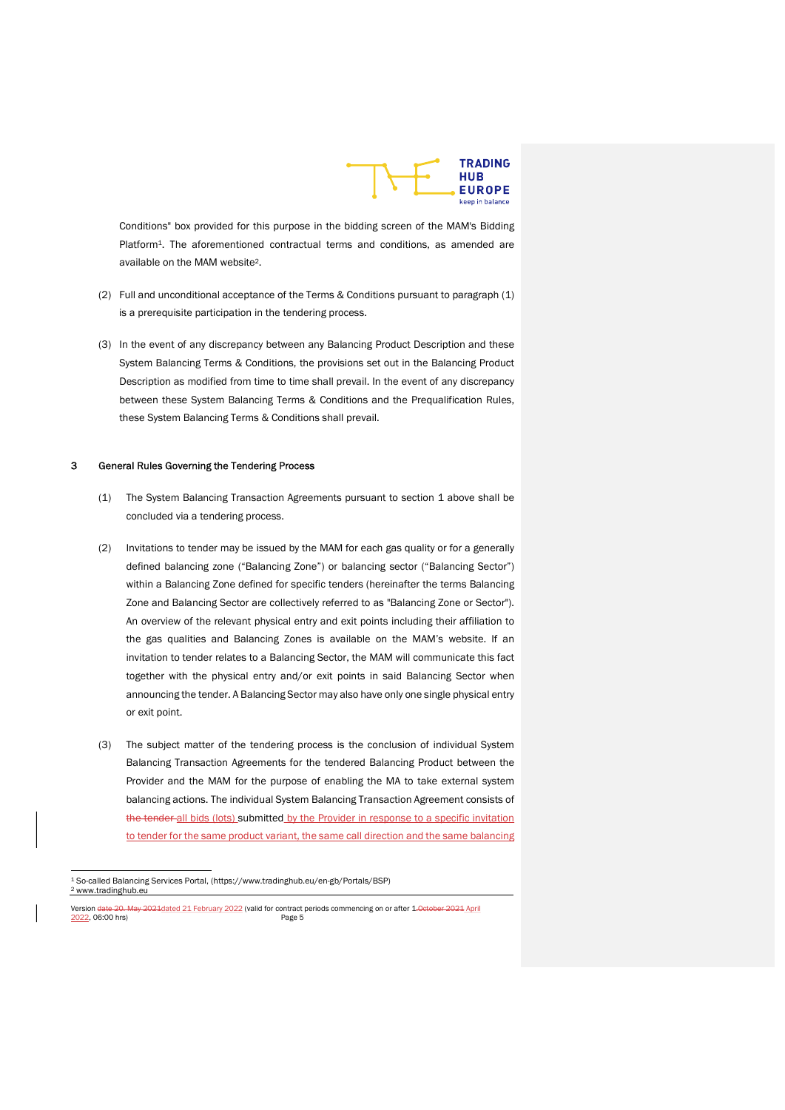

Conditions" box provided for this purpose in the bidding screen of the MAM's Bidding Platform<sup>1</sup>. The aforementioned contractual terms and conditions, as amended are available on the MAM website2.

- (2) Full and unconditional acceptance of the Terms & Conditions pursuant to paragraph (1) is a prerequisite participation in the tendering process.
- (3) In the event of any discrepancy between any Balancing Product Description and these System Balancing Terms & Conditions, the provisions set out in the Balancing Product Description as modified from time to time shall prevail. In the event of any discrepancy between these System Balancing Terms & Conditions and the Prequalification Rules, these System Balancing Terms & Conditions shall prevail.

#### 3 General Rules Governing the Tendering Process

- (1) The System Balancing Transaction Agreements pursuant to section 1 above shall be concluded via a tendering process.
- (2) Invitations to tender may be issued by the MAM for each gas quality or for a generally defined balancing zone ("Balancing Zone") or balancing sector ("Balancing Sector") within a Balancing Zone defined for specific tenders (hereinafter the terms Balancing Zone and Balancing Sector are collectively referred to as "Balancing Zone or Sector"). An overview of the relevant physical entry and exit points including their affiliation to the gas qualities and Balancing Zones is available on the MAM's website. If an invitation to tender relates to a Balancing Sector, the MAM will communicate this fact together with the physical entry and/or exit points in said Balancing Sector when announcing the tender. A Balancing Sector may also have only one single physical entry or exit point.
- (3) The subject matter of the tendering process is the conclusion of individual System Balancing Transaction Agreements for the tendered Balancing Product between the Provider and the MAM for the purpose of enabling the MA to take external system balancing actions. The individual System Balancing Transaction Agreement consists of the tender all bids (lots) submitted by the Provider in response to a specific invitation to tender for the same product variant, the same call direction and the same balancing

<sup>1</sup> So-called Balancing Services Portal, (https://www.tradinghub.eu/en-gb/Portals/BSP) 2 www.tradinghub.eu

Version date 20. May 2021 dated 21 February 2022 (valid for contract periods commencing on or after 1. October 2021 April<br>2022, 06:00 hrs) <u>2022</u>, 06:00 hrs)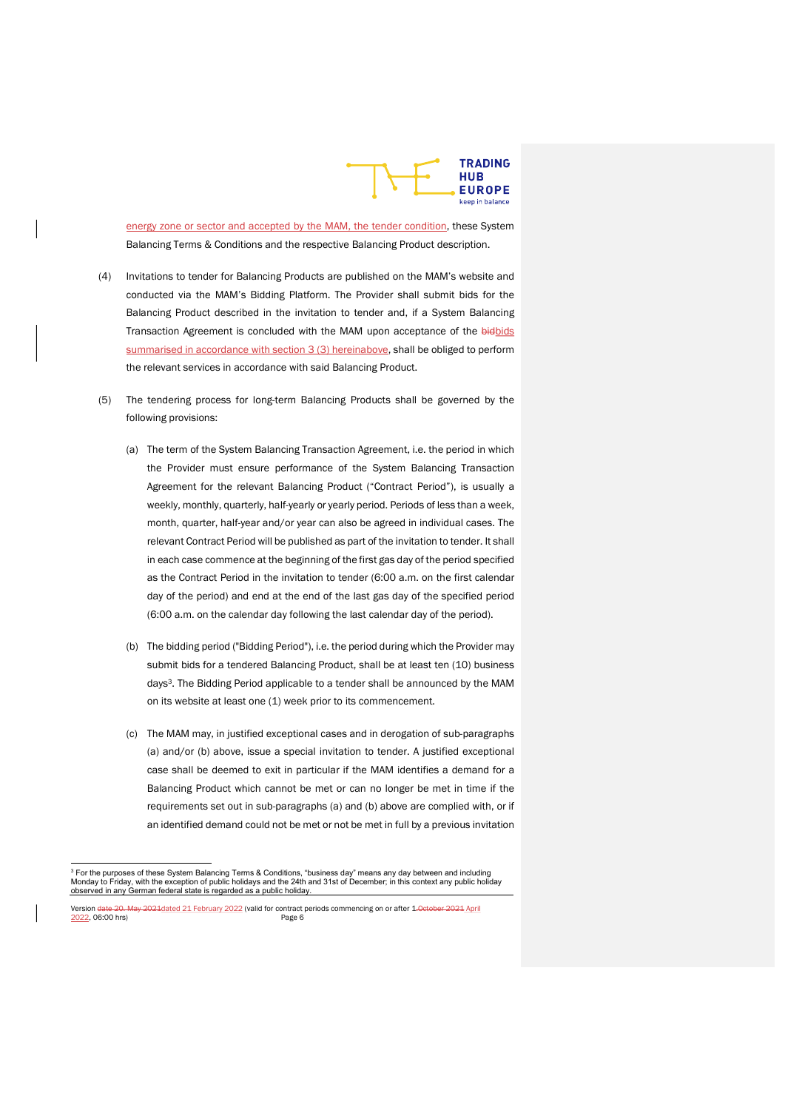

energy zone or sector and accepted by the MAM, the tender condition, these System Balancing Terms & Conditions and the respective Balancing Product description.

- (4) Invitations to tender for Balancing Products are published on the MAM's website and conducted via the MAM's Bidding Platform. The Provider shall submit bids for the Balancing Product described in the invitation to tender and, if a System Balancing Transaction Agreement is concluded with the MAM upon acceptance of the bidbids summarised in accordance with section 3 (3) hereinabove, shall be obliged to perform the relevant services in accordance with said Balancing Product.
- (5) The tendering process for long-term Balancing Products shall be governed by the following provisions:
	- (a) The term of the System Balancing Transaction Agreement, i.e. the period in which the Provider must ensure performance of the System Balancing Transaction Agreement for the relevant Balancing Product ("Contract Period"), is usually a weekly, monthly, quarterly, half-yearly or yearly period. Periods of less than a week, month, quarter, half-year and/or year can also be agreed in individual cases. The relevant Contract Period will be published as part of the invitation to tender. It shall in each case commence at the beginning of the first gas day of the period specified as the Contract Period in the invitation to tender (6:00 a.m. on the first calendar day of the period) and end at the end of the last gas day of the specified period (6:00 a.m. on the calendar day following the last calendar day of the period).
	- (b) The bidding period ("Bidding Period"), i.e. the period during which the Provider may submit bids for a tendered Balancing Product, shall be at least ten (10) business days3. The Bidding Period applicable to a tender shall be announced by the MAM on its website at least one (1) week prior to its commencement.
	- (c) The MAM may, in justified exceptional cases and in derogation of sub-paragraphs (a) and/or (b) above, issue a special invitation to tender. A justified exceptional case shall be deemed to exit in particular if the MAM identifies a demand for a Balancing Product which cannot be met or can no longer be met in time if the requirements set out in sub-paragraphs (a) and (b) above are complied with, or if an identified demand could not be met or not be met in full by a previous invitation

<sup>&</sup>lt;sup>3</sup> For the purposes of these System Balancing Terms & Conditions, "business day" means any day between and including<br>Monday to Friday, with the exception of public holidays and the 24th and 31st of December; in this conte observed in any German federal state is regarded as a public holiday.

Version date 20. May 2021 dated 21 February 2022 (valid for contract periods commencing on or after 1. October 2021 April<br>2022, 06:00 hrs) <u>2022</u>, 06:00 hrs)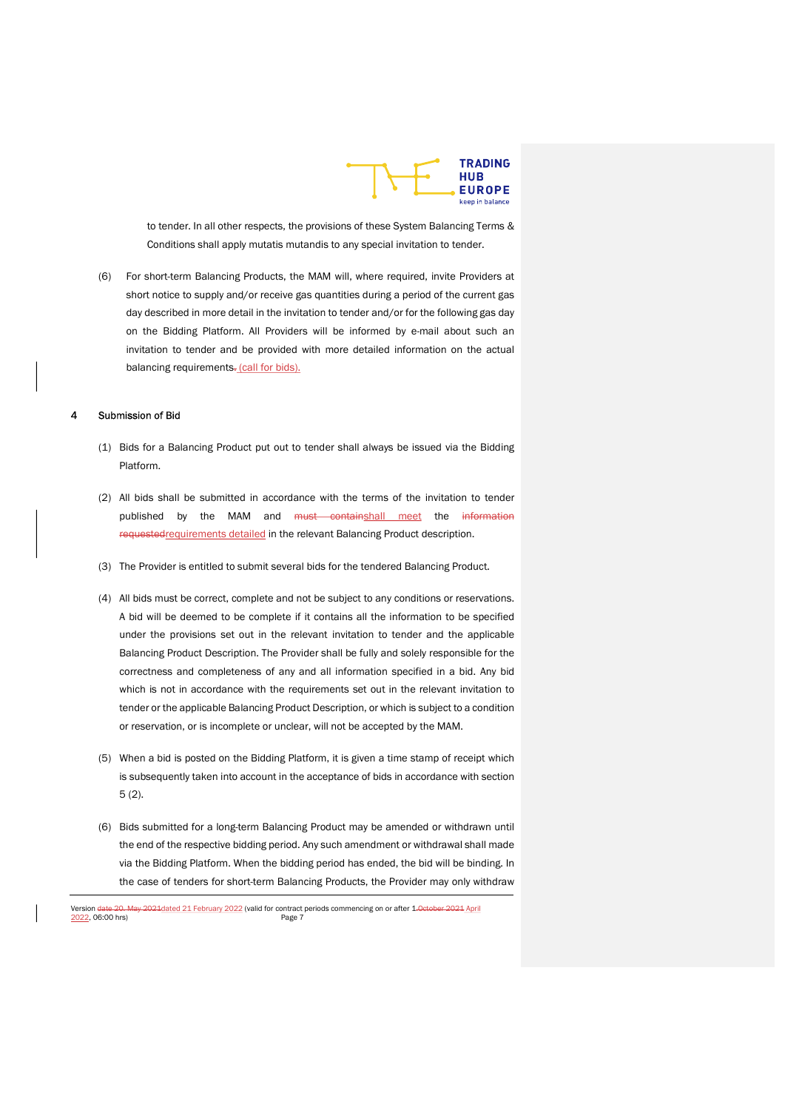

to tender. In all other respects, the provisions of these System Balancing Terms & Conditions shall apply mutatis mutandis to any special invitation to tender.

(6) For short-term Balancing Products, the MAM will, where required, invite Providers at short notice to supply and/or receive gas quantities during a period of the current gas day described in more detail in the invitation to tender and/or for the following gas day on the Bidding Platform. All Providers will be informed by e-mail about such an invitation to tender and be provided with more detailed information on the actual balancing requirements. (call for bids).

# 4 Submission of Bid

- (1) Bids for a Balancing Product put out to tender shall always be issued via the Bidding Platform.
- (2) All bids shall be submitted in accordance with the terms of the invitation to tender published by the MAM and must containshall meet the information requestedrequirements detailed in the relevant Balancing Product description.
- (3) The Provider is entitled to submit several bids for the tendered Balancing Product.
- (4) All bids must be correct, complete and not be subject to any conditions or reservations. A bid will be deemed to be complete if it contains all the information to be specified under the provisions set out in the relevant invitation to tender and the applicable Balancing Product Description. The Provider shall be fully and solely responsible for the correctness and completeness of any and all information specified in a bid. Any bid which is not in accordance with the requirements set out in the relevant invitation to tender or the applicable Balancing Product Description, or which is subject to a condition or reservation, or is incomplete or unclear, will not be accepted by the MAM.
- (5) When a bid is posted on the Bidding Platform, it is given a time stamp of receipt which is subsequently taken into account in the acceptance of bids in accordance with section 5 (2).
- (6) Bids submitted for a long-term Balancing Product may be amended or withdrawn until the end of the respective bidding period. Any such amendment or withdrawal shall made via the Bidding Platform. When the bidding period has ended, the bid will be binding. In the case of tenders for short-term Balancing Products, the Provider may only withdraw

Version date 20. May 2021 dated 21 February 2022 (valid for contract periods commencing on or after 1. October 2021 April<br>
Page 7 <u>2022</u>, 06:00 hrs)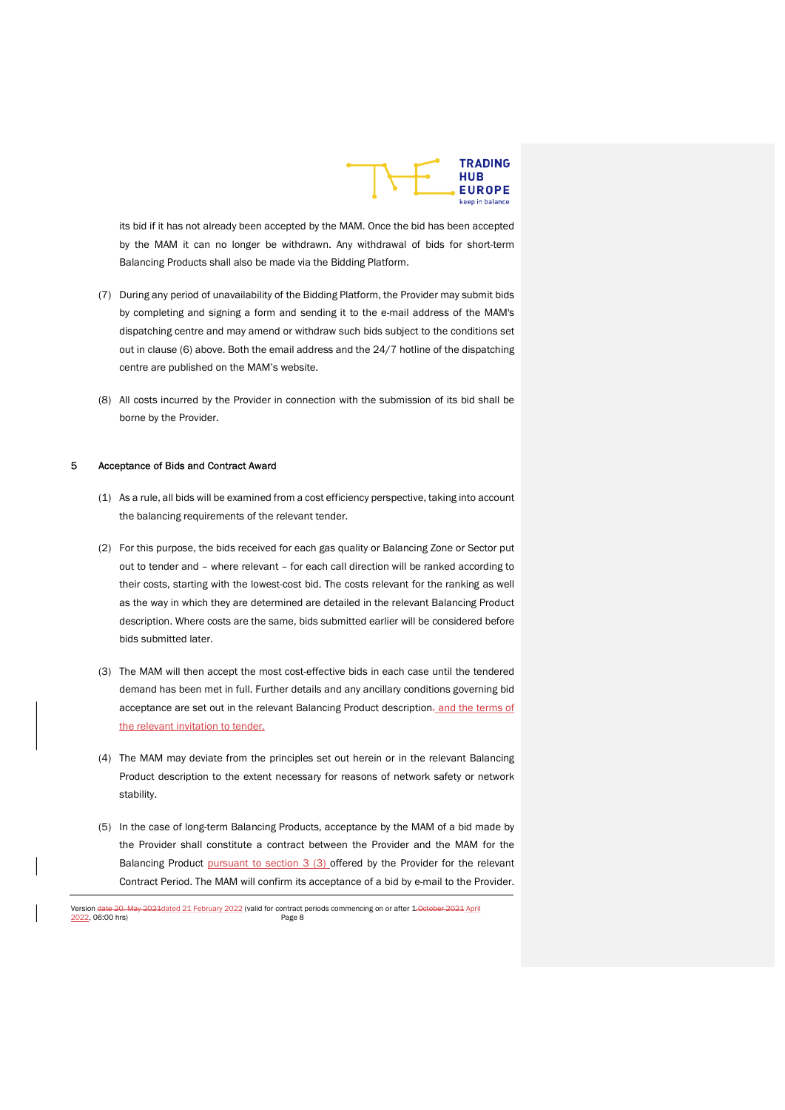

its bid if it has not already been accepted by the MAM. Once the bid has been accepted by the MAM it can no longer be withdrawn. Any withdrawal of bids for short-term Balancing Products shall also be made via the Bidding Platform.

- (7) During any period of unavailability of the Bidding Platform, the Provider may submit bids by completing and signing a form and sending it to the e-mail address of the MAM's dispatching centre and may amend or withdraw such bids subject to the conditions set out in clause (6) above. Both the email address and the 24/7 hotline of the dispatching centre are published on the MAM's website.
- (8) All costs incurred by the Provider in connection with the submission of its bid shall be borne by the Provider.

#### 5 Acceptance of Bids and Contract Award

- (1) As a rule, all bids will be examined from a cost efficiency perspective, taking into account the balancing requirements of the relevant tender.
- (2) For this purpose, the bids received for each gas quality or Balancing Zone or Sector put out to tender and – where relevant – for each call direction will be ranked according to their costs, starting with the lowest-cost bid. The costs relevant for the ranking as well as the way in which they are determined are detailed in the relevant Balancing Product description. Where costs are the same, bids submitted earlier will be considered before bids submitted later.
- (3) The MAM will then accept the most cost-effective bids in each case until the tendered demand has been met in full. Further details and any ancillary conditions governing bid acceptance are set out in the relevant Balancing Product description. and the terms of the relevant invitation to tender.
- (4) The MAM may deviate from the principles set out herein or in the relevant Balancing Product description to the extent necessary for reasons of network safety or network stability.
- (5) In the case of long-term Balancing Products, acceptance by the MAM of a bid made by the Provider shall constitute a contract between the Provider and the MAM for the Balancing Product pursuant to section 3 (3) offered by the Provider for the relevant Contract Period. The MAM will confirm its acceptance of a bid by e-mail to the Provider.

Version date 20. May 2021 dated 21 February 2022 (valid for contract periods commencing on or after 1. October 2021 April<br>2022, 06:00 hrs) Page 8 <u>2022</u>, 06:00 hrs)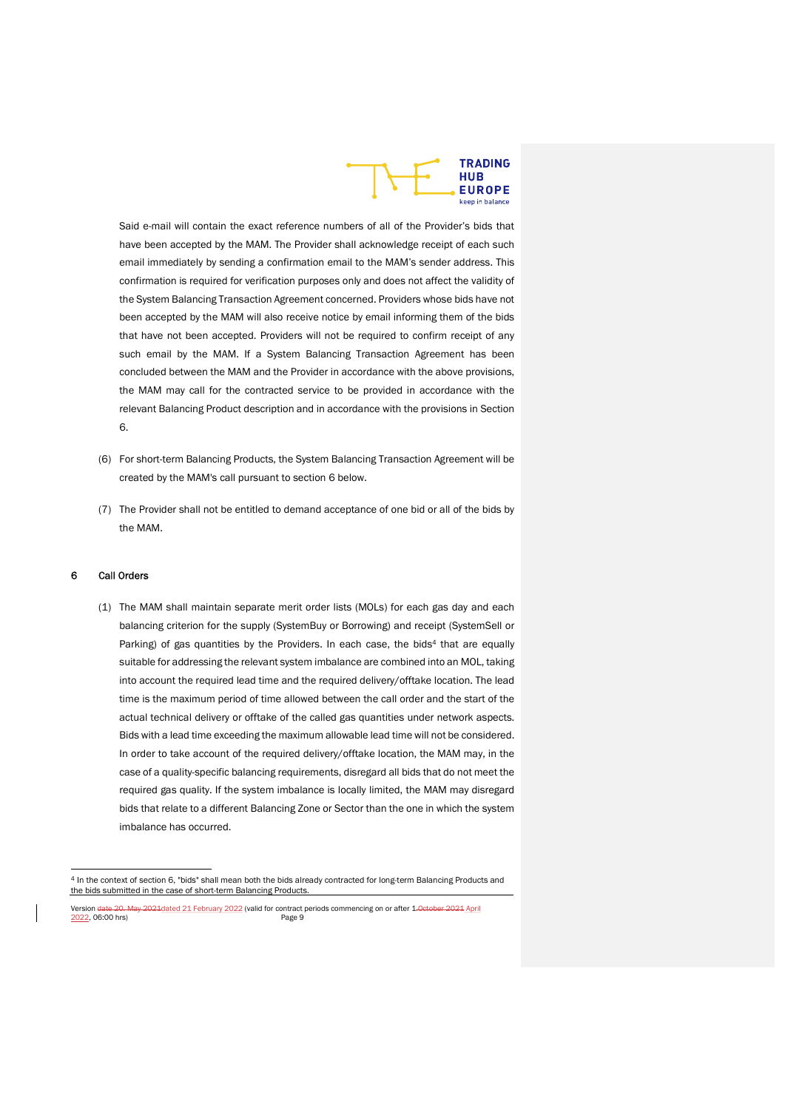

Said e-mail will contain the exact reference numbers of all of the Provider's bids that have been accepted by the MAM. The Provider shall acknowledge receipt of each such email immediately by sending a confirmation email to the MAM's sender address. This confirmation is required for verification purposes only and does not affect the validity of the System Balancing Transaction Agreement concerned. Providers whose bids have not been accepted by the MAM will also receive notice by email informing them of the bids that have not been accepted. Providers will not be required to confirm receipt of any such email by the MAM. If a System Balancing Transaction Agreement has been concluded between the MAM and the Provider in accordance with the above provisions, the MAM may call for the contracted service to be provided in accordance with the relevant Balancing Product description and in accordance with the provisions in Section 6.

- (6) For short-term Balancing Products, the System Balancing Transaction Agreement will be created by the MAM's call pursuant to section 6 below.
- (7) The Provider shall not be entitled to demand acceptance of one bid or all of the bids by the MAM.

# 6 Call Orders

(1) The MAM shall maintain separate merit order lists (MOLs) for each gas day and each balancing criterion for the supply (SystemBuy or Borrowing) and receipt (SystemSell or Parking) of gas quantities by the Providers. In each case, the bids<sup>4</sup> that are equally suitable for addressing the relevant system imbalance are combined into an MOL, taking into account the required lead time and the required delivery/offtake location. The lead time is the maximum period of time allowed between the call order and the start of the actual technical delivery or offtake of the called gas quantities under network aspects. Bids with a lead time exceeding the maximum allowable lead time will not be considered. In order to take account of the required delivery/offtake location, the MAM may, in the case of a quality-specific balancing requirements, disregard all bids that do not meet the required gas quality. If the system imbalance is locally limited, the MAM may disregard bids that relate to a different Balancing Zone or Sector than the one in which the system imbalance has occurred.

<sup>4</sup> In the context of section 6, "bids" shall mean both the bids already contracted for long-term Balancing Products and the bids submitted in the case of short-term Balancing Products.

Version <del>date 20. May 2021</del>dated 21 February 2022 (valid for contract periods commencing on or after 1<del>.0etober 2021</del> April (2021)<br>2022, 06:00 hrs)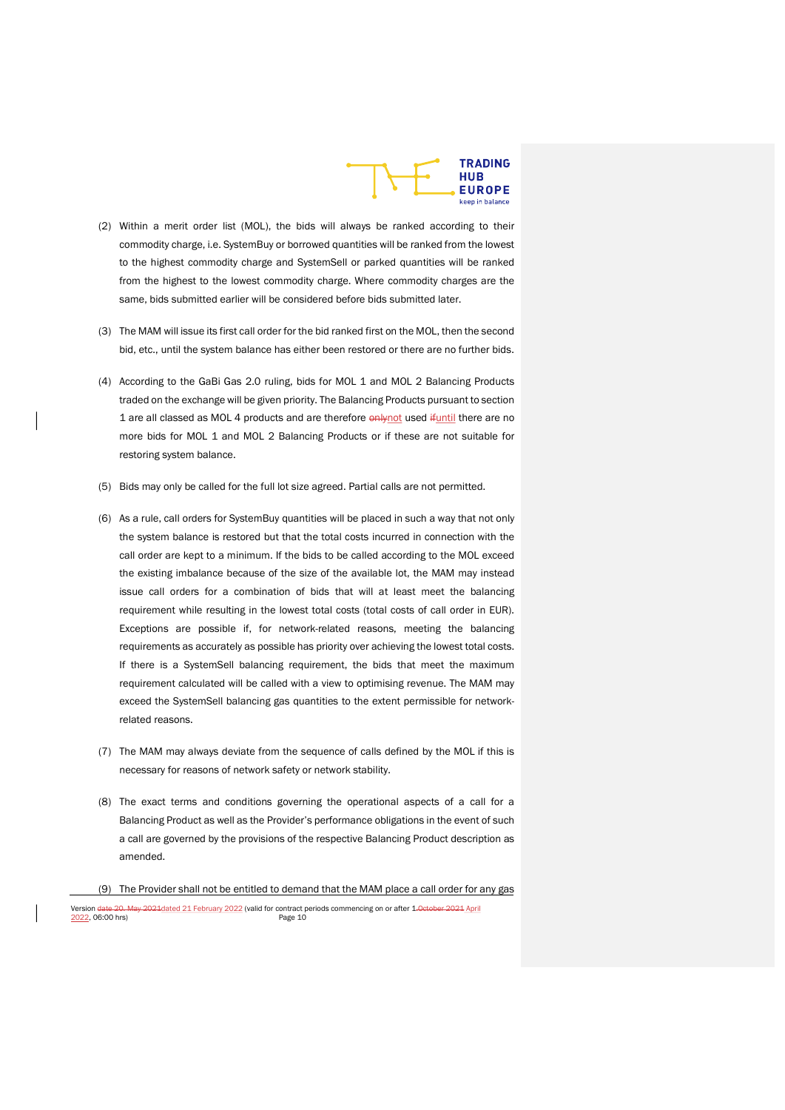

- (2) Within a merit order list (MOL), the bids will always be ranked according to their commodity charge, i.e. SystemBuy or borrowed quantities will be ranked from the lowest to the highest commodity charge and SystemSell or parked quantities will be ranked from the highest to the lowest commodity charge. Where commodity charges are the same, bids submitted earlier will be considered before bids submitted later.
- (3) The MAM will issue its first call order for the bid ranked first on the MOL, then the second bid, etc., until the system balance has either been restored or there are no further bids.
- (4) According to the GaBi Gas 2.0 ruling, bids for MOL 1 and MOL 2 Balancing Products traded on the exchange will be given priority. The Balancing Products pursuant to section 1 are all classed as MOL 4 products and are therefore  $\frac{9 \text{H}}{1 \text{H}}$  who there are no more bids for MOL 1 and MOL 2 Balancing Products or if these are not suitable for restoring system balance.
- (5) Bids may only be called for the full lot size agreed. Partial calls are not permitted.
- (6) As a rule, call orders for SystemBuy quantities will be placed in such a way that not only the system balance is restored but that the total costs incurred in connection with the call order are kept to a minimum. If the bids to be called according to the MOL exceed the existing imbalance because of the size of the available lot, the MAM may instead issue call orders for a combination of bids that will at least meet the balancing requirement while resulting in the lowest total costs (total costs of call order in EUR). Exceptions are possible if, for network-related reasons, meeting the balancing requirements as accurately as possible has priority over achieving the lowest total costs. If there is a SystemSell balancing requirement, the bids that meet the maximum requirement calculated will be called with a view to optimising revenue. The MAM may exceed the SystemSell balancing gas quantities to the extent permissible for networkrelated reasons.
- (7) The MAM may always deviate from the sequence of calls defined by the MOL if this is necessary for reasons of network safety or network stability.
- (8) The exact terms and conditions governing the operational aspects of a call for a Balancing Product as well as the Provider's performance obligations in the event of such a call are governed by the provisions of the respective Balancing Product description as amended.
- (9) The Provider shall not be entitled to demand that the MAM place a call order for any gas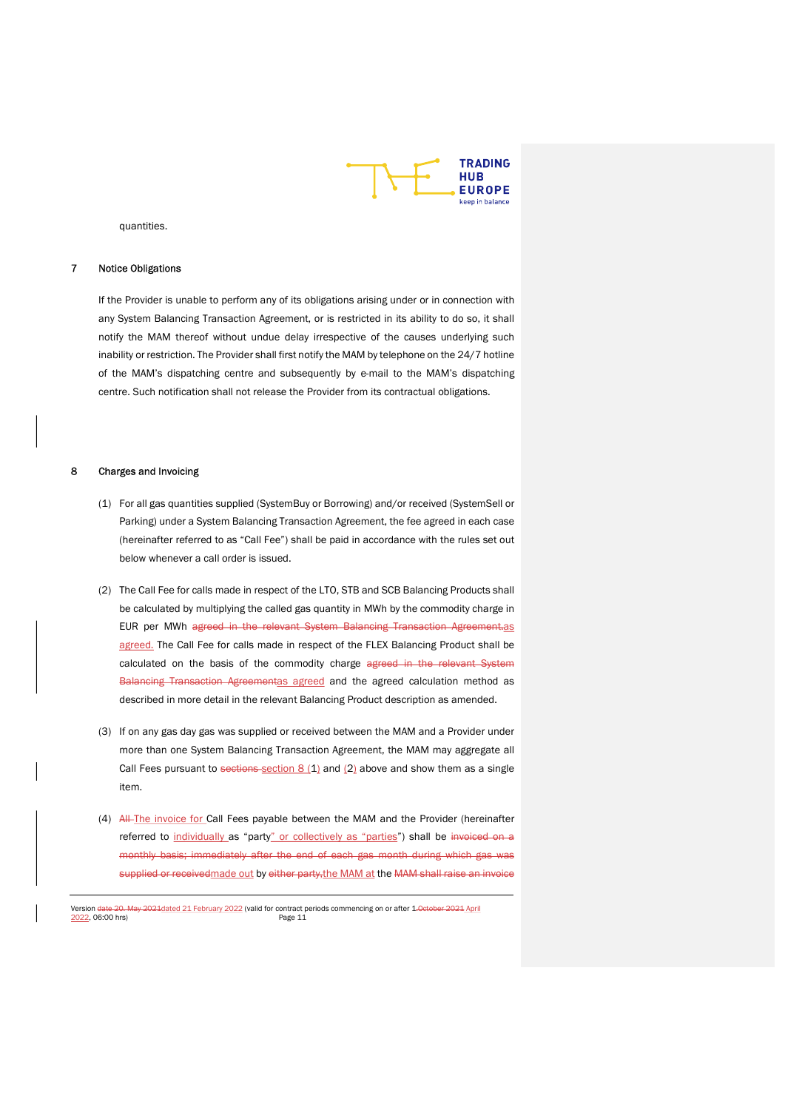

quantities.

# 7 Notice Obligations

If the Provider is unable to perform any of its obligations arising under or in connection with any System Balancing Transaction Agreement, or is restricted in its ability to do so, it shall notify the MAM thereof without undue delay irrespective of the causes underlying such inability or restriction. The Provider shall first notify the MAM by telephone on the 24/7 hotline of the MAM's dispatching centre and subsequently by e-mail to the MAM's dispatching centre. Such notification shall not release the Provider from its contractual obligations.

# 8 Charges and Invoicing

- (1) For all gas quantities supplied (SystemBuy or Borrowing) and/or received (SystemSell or Parking) under a System Balancing Transaction Agreement, the fee agreed in each case (hereinafter referred to as "Call Fee") shall be paid in accordance with the rules set out below whenever a call order is issued.
- (2) The Call Fee for calls made in respect of the LTO, STB and SCB Balancing Products shall be calculated by multiplying the called gas quantity in MWh by the commodity charge in EUR per MWh agreed in the relevant System Balancing Transaction Agreement.as agreed. The Call Fee for calls made in respect of the FLEX Balancing Product shall be calculated on the basis of the commodity charge agreed in the relevant System Balancing Transaction Agreementas agreed and the agreed calculation method as described in more detail in the relevant Balancing Product description as amended.
- (3) If on any gas day gas was supplied or received between the MAM and a Provider under more than one System Balancing Transaction Agreement, the MAM may aggregate all Call Fees pursuant to sections section  $8(1)$  and  $(2)$  above and show them as a single item.
- (4) All-The invoice for Call Fees payable between the MAM and the Provider (hereinafter referred to individually as "party" or collectively as "parties") shall be invoiced on a monthly basis; immediately after the end of each gas month during which gas was supplied or receivedmade out by either party, the MAM at the MAM shall raise an invoice

Version date 20. May 2021 dated 21 February 2022 (valid for contract periods commencing on or after 1. October 2021 April<br>2022, 06:00 hrs) <u>2022</u>, 06:00 hrs)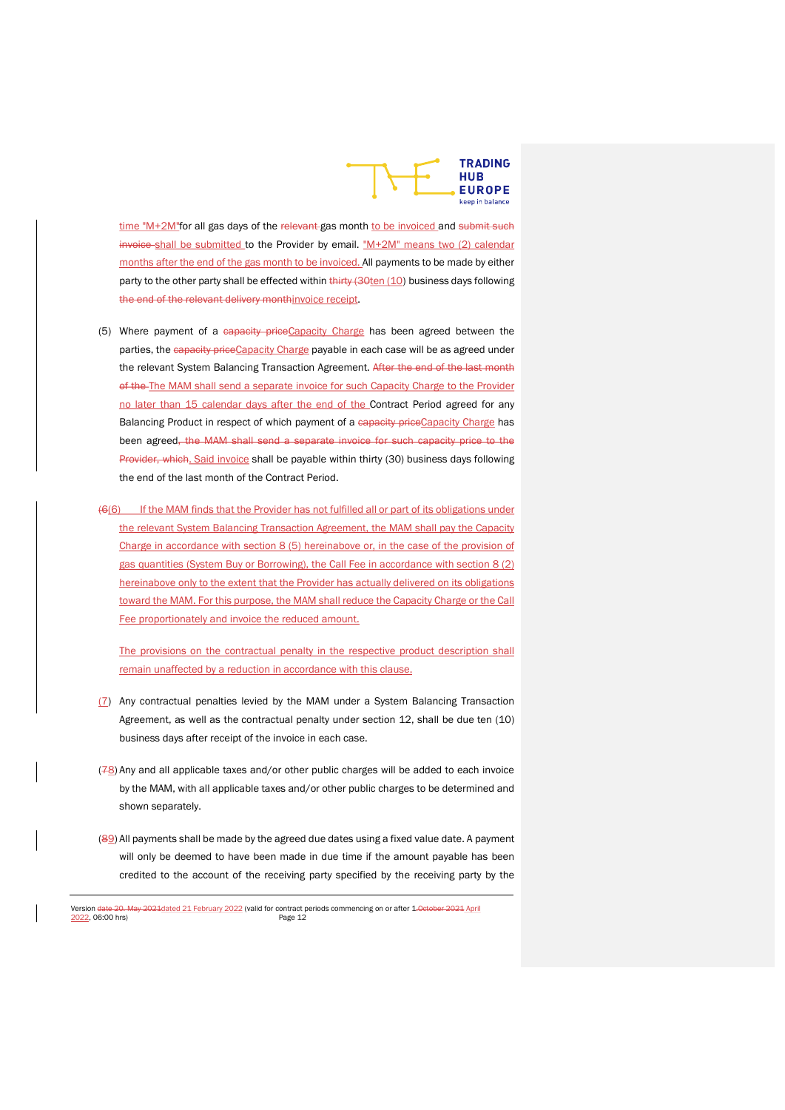

time "M+2M"for all gas days of the relevant gas month to be invoiced and submit such invoice shall be submitted to the Provider by email. "M+2M" means two (2) calendar months after the end of the gas month to be invoiced. All payments to be made by either party to the other party shall be effected within thirty (30ten (10) business days following the end of the relevant delivery monthinvoice receipt.

- (5) Where payment of a capacity priceCapacity Charge has been agreed between the parties, the capacity price Capacity Charge payable in each case will be as agreed under the relevant System Balancing Transaction Agreement. After the end of the last month of the The MAM shall send a separate invoice for such Capacity Charge to the Provider no later than 15 calendar days after the end of the Contract Period agreed for any Balancing Product in respect of which payment of a capacity priceCapacity Charge has been agreed, the MAM shall send a separate invoice for such capacity price to the Provider, which. Said invoice shall be payable within thirty (30) business days following the end of the last month of the Contract Period.
- (6(6) If the MAM finds that the Provider has not fulfilled all or part of its obligations under the relevant System Balancing Transaction Agreement, the MAM shall pay the Capacity Charge in accordance with section 8 (5) hereinabove or, in the case of the provision of gas quantities (System Buy or Borrowing), the Call Fee in accordance with section 8 (2) hereinabove only to the extent that the Provider has actually delivered on its obligations toward the MAM. For this purpose, the MAM shall reduce the Capacity Charge or the Call Fee proportionately and invoice the reduced amount.

The provisions on the contractual penalty in the respective product description shall remain unaffected by a reduction in accordance with this clause.

- (7) Any contractual penalties levied by the MAM under a System Balancing Transaction Agreement, as well as the contractual penalty under section 12, shall be due ten (10) business days after receipt of the invoice in each case.
- $(78)$  Any and all applicable taxes and/or other public charges will be added to each invoice by the MAM, with all applicable taxes and/or other public charges to be determined and shown separately.
- (89) All payments shall be made by the agreed due dates using a fixed value date. A payment will only be deemed to have been made in due time if the amount payable has been credited to the account of the receiving party specified by the receiving party by the

Version date 20. May 2021 dated 21 February 2022 (valid for contract periods commencing on or after 1. October 2021 April<br>2022, 06:00 hrs) 2022, 06:00 hrs)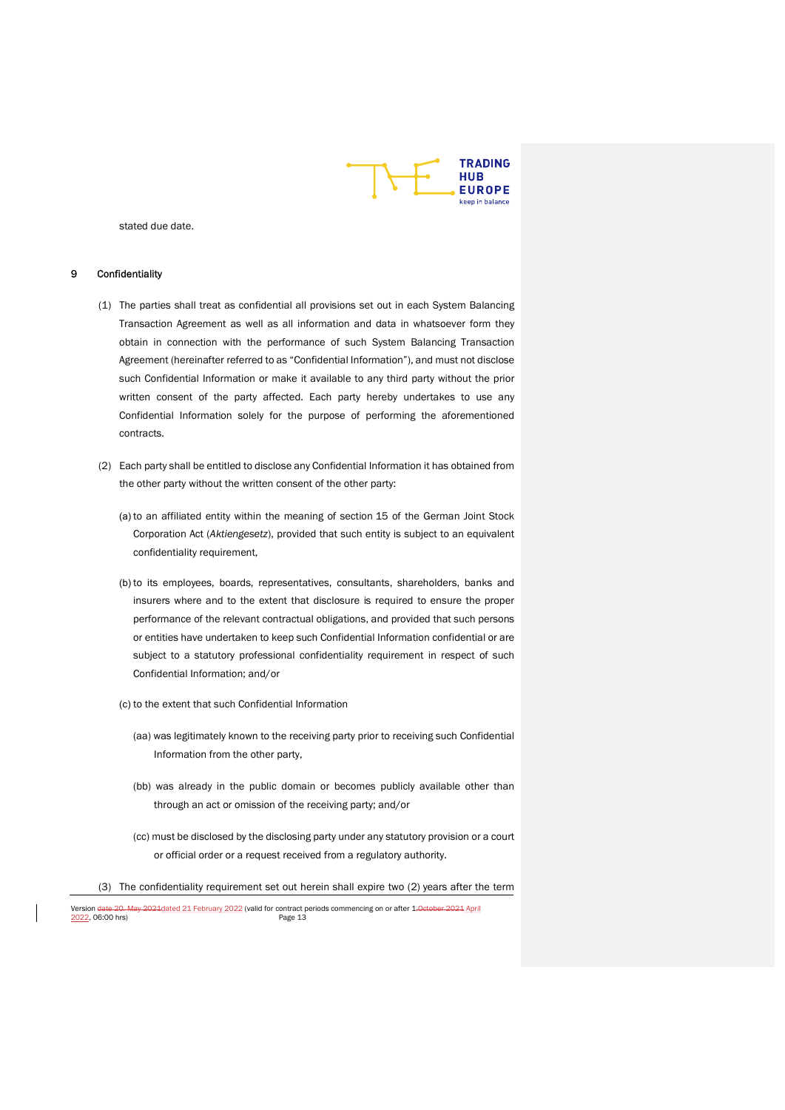

stated due date.

#### Confidentiality

- (1) The parties shall treat as confidential all provisions set out in each System Balancing Transaction Agreement as well as all information and data in whatsoever form they obtain in connection with the performance of such System Balancing Transaction Agreement (hereinafter referred to as "Confidential Information"), and must not disclose such Confidential Information or make it available to any third party without the prior written consent of the party affected. Each party hereby undertakes to use any Confidential Information solely for the purpose of performing the aforementioned contracts.
- (2) Each party shall be entitled to disclose any Confidential Information it has obtained from the other party without the written consent of the other party:
	- (a) to an affiliated entity within the meaning of section 15 of the German Joint Stock Corporation Act (Aktiengesetz), provided that such entity is subject to an equivalent confidentiality requirement,
	- (b) to its employees, boards, representatives, consultants, shareholders, banks and insurers where and to the extent that disclosure is required to ensure the proper performance of the relevant contractual obligations, and provided that such persons or entities have undertaken to keep such Confidential Information confidential or are subject to a statutory professional confidentiality requirement in respect of such Confidential Information; and/or
	- (c) to the extent that such Confidential Information
		- (aa) was legitimately known to the receiving party prior to receiving such Confidential Information from the other party,
		- (bb) was already in the public domain or becomes publicly available other than through an act or omission of the receiving party; and/or
		- (cc) must be disclosed by the disclosing party under any statutory provision or a court or official order or a request received from a regulatory authority.
- (3) The confidentiality requirement set out herein shall expire two (2) years after the term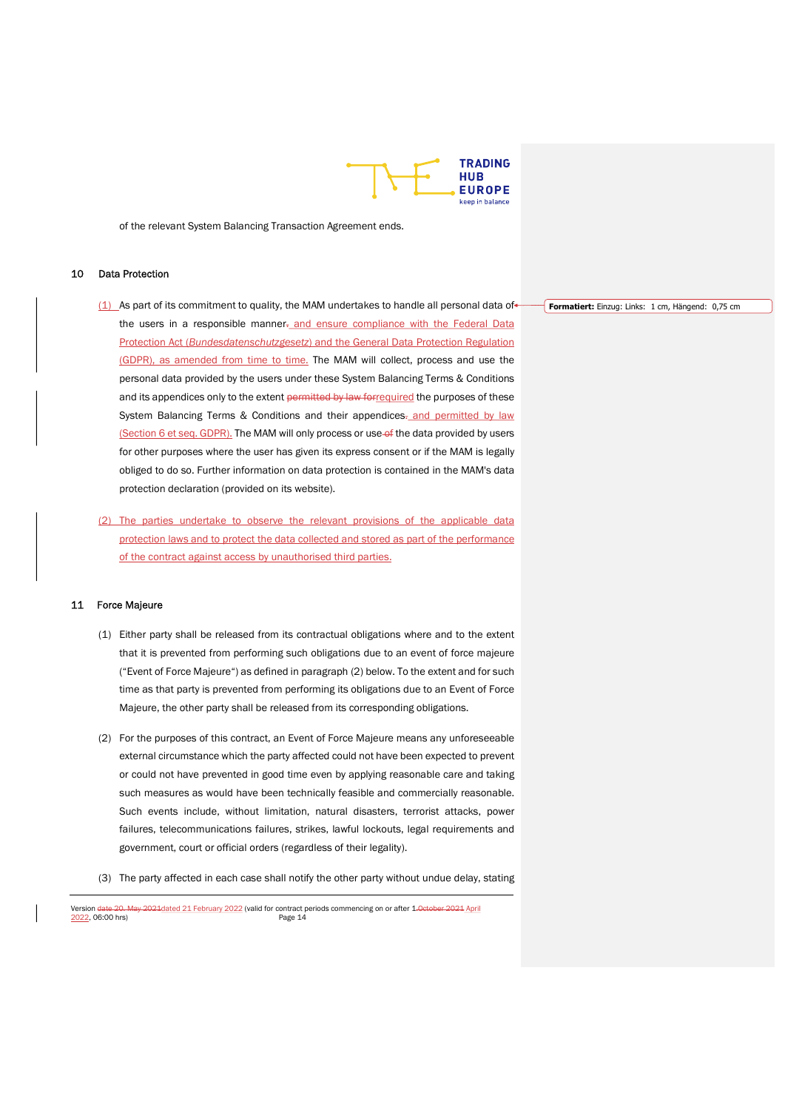

of the relevant System Balancing Transaction Agreement ends.

# 10 Data Protection

- $(1)$  As part of its commitment to quality, the MAM undertakes to handle all personal data of the users in a responsible manner-and ensure compliance with the Federal Data Protection Act (Bundesdatenschutzgesetz) and the General Data Protection Regulation (GDPR), as amended from time to time. The MAM will collect, process and use the personal data provided by the users under these System Balancing Terms & Conditions and its appendices only to the extent permitted by law for required the purposes of these System Balancing Terms & Conditions and their appendices<sub>z</sub> and permitted by law (Section 6 et seq. GDPR). The MAM will only process or use of the data provided by users for other purposes where the user has given its express consent or if the MAM is legally obliged to do so. Further information on data protection is contained in the MAM's data protection declaration (provided on its website).
- (2) The parties undertake to observe the relevant provisions of the applicable data protection laws and to protect the data collected and stored as part of the performance of the contract against access by unauthorised third parties.

# 11 Force Majeure

- (1) Either party shall be released from its contractual obligations where and to the extent that it is prevented from performing such obligations due to an event of force majeure ("Event of Force Majeure") as defined in paragraph (2) below. To the extent and for such time as that party is prevented from performing its obligations due to an Event of Force Majeure, the other party shall be released from its corresponding obligations.
- (2) For the purposes of this contract, an Event of Force Majeure means any unforeseeable external circumstance which the party affected could not have been expected to prevent or could not have prevented in good time even by applying reasonable care and taking such measures as would have been technically feasible and commercially reasonable. Such events include, without limitation, natural disasters, terrorist attacks, power failures, telecommunications failures, strikes, lawful lockouts, legal requirements and government, court or official orders (regardless of their legality).
- (3) The party affected in each case shall notify the other party without undue delay, stating

Version date 20. May 2021 dated 21 February 2022 (valid for contract periods commencing on or after 1. October 2021 April<br>2022, 06:00 hrs) <u>2022</u>, 06:00 hrs)

Formatiert: Einzug: Links: 1 cm, Hängend: 0,75 cm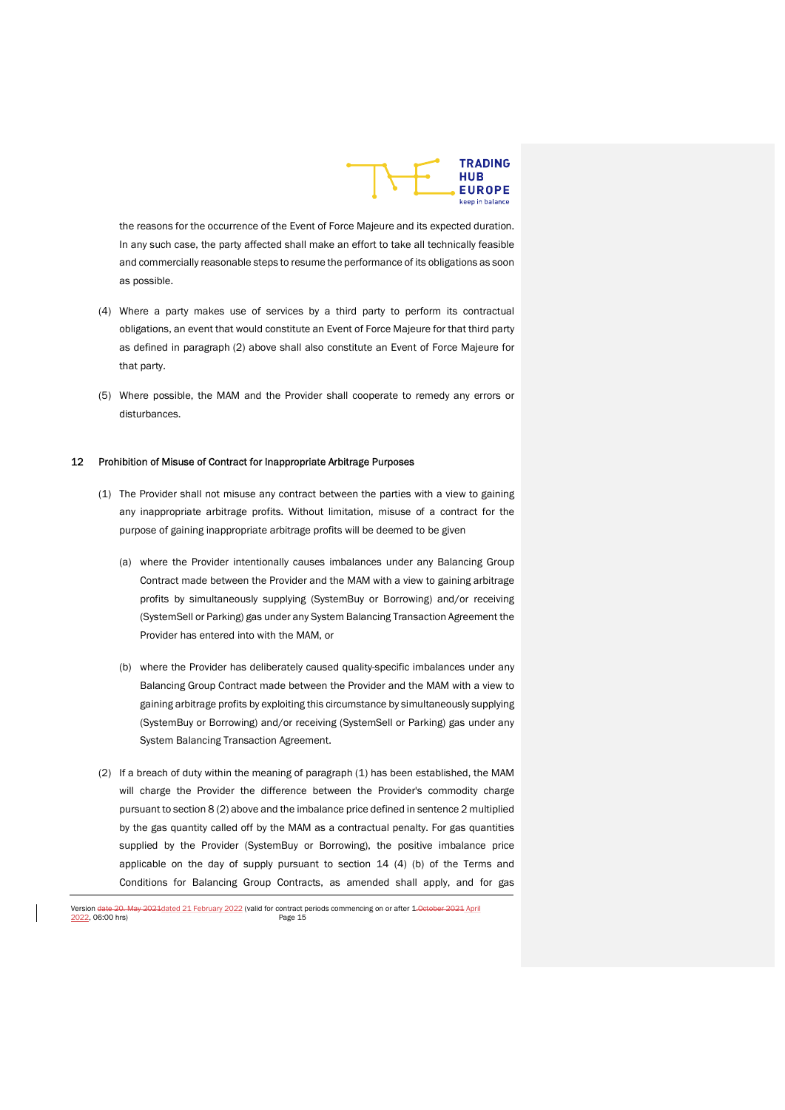

the reasons for the occurrence of the Event of Force Majeure and its expected duration. In any such case, the party affected shall make an effort to take all technically feasible and commercially reasonable steps to resume the performance of its obligations as soon as possible.

- (4) Where a party makes use of services by a third party to perform its contractual obligations, an event that would constitute an Event of Force Majeure for that third party as defined in paragraph (2) above shall also constitute an Event of Force Majeure for that party.
- (5) Where possible, the MAM and the Provider shall cooperate to remedy any errors or disturbances.

#### 12 Prohibition of Misuse of Contract for Inappropriate Arbitrage Purposes

- (1) The Provider shall not misuse any contract between the parties with a view to gaining any inappropriate arbitrage profits. Without limitation, misuse of a contract for the purpose of gaining inappropriate arbitrage profits will be deemed to be given
	- (a) where the Provider intentionally causes imbalances under any Balancing Group Contract made between the Provider and the MAM with a view to gaining arbitrage profits by simultaneously supplying (SystemBuy or Borrowing) and/or receiving (SystemSell or Parking) gas under any System Balancing Transaction Agreement the Provider has entered into with the MAM, or
	- (b) where the Provider has deliberately caused quality-specific imbalances under any Balancing Group Contract made between the Provider and the MAM with a view to gaining arbitrage profits by exploiting this circumstance by simultaneously supplying (SystemBuy or Borrowing) and/or receiving (SystemSell or Parking) gas under any System Balancing Transaction Agreement.
- (2) If a breach of duty within the meaning of paragraph (1) has been established, the MAM will charge the Provider the difference between the Provider's commodity charge pursuant to section 8 (2) above and the imbalance price defined in sentence 2 multiplied by the gas quantity called off by the MAM as a contractual penalty. For gas quantities supplied by the Provider (SystemBuy or Borrowing), the positive imbalance price applicable on the day of supply pursuant to section 14 (4) (b) of the Terms and Conditions for Balancing Group Contracts, as amended shall apply, and for gas

Version date 20. May 2021 dated 21 February 2022 (valid for contract periods commencing on or after 1. October 2021 April<br>2022, 06:00 hrs) <u>2022</u>, 06:00 hrs)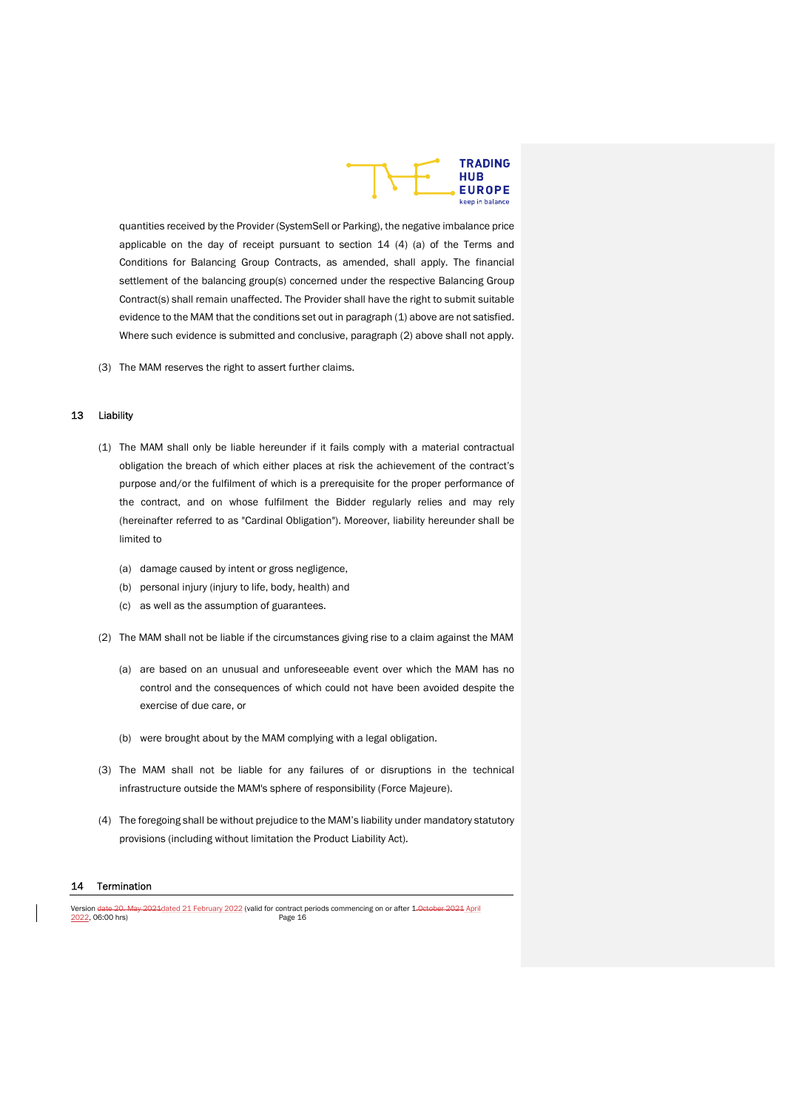

quantities received by the Provider (SystemSell or Parking), the negative imbalance price applicable on the day of receipt pursuant to section  $14$  (4) (a) of the Terms and Conditions for Balancing Group Contracts, as amended, shall apply. The financial settlement of the balancing group(s) concerned under the respective Balancing Group Contract(s) shall remain unaffected. The Provider shall have the right to submit suitable evidence to the MAM that the conditions set out in paragraph (1) above are not satisfied. Where such evidence is submitted and conclusive, paragraph (2) above shall not apply.

(3) The MAM reserves the right to assert further claims.

# 13 Liability

- (1) The MAM shall only be liable hereunder if it fails comply with a material contractual obligation the breach of which either places at risk the achievement of the contract's purpose and/or the fulfilment of which is a prerequisite for the proper performance of the contract, and on whose fulfilment the Bidder regularly relies and may rely (hereinafter referred to as "Cardinal Obligation"). Moreover, liability hereunder shall be limited to
	- (a) damage caused by intent or gross negligence,
	- (b) personal injury (injury to life, body, health) and
	- (c) as well as the assumption of guarantees.
- (2) The MAM shall not be liable if the circumstances giving rise to a claim against the MAM
	- (a) are based on an unusual and unforeseeable event over which the MAM has no control and the consequences of which could not have been avoided despite the exercise of due care, or
	- (b) were brought about by the MAM complying with a legal obligation.
- (3) The MAM shall not be liable for any failures of or disruptions in the technical infrastructure outside the MAM's sphere of responsibility (Force Majeure).
- (4) The foregoing shall be without prejudice to the MAM's liability under mandatory statutory provisions (including without limitation the Product Liability Act).

#### 14 Termination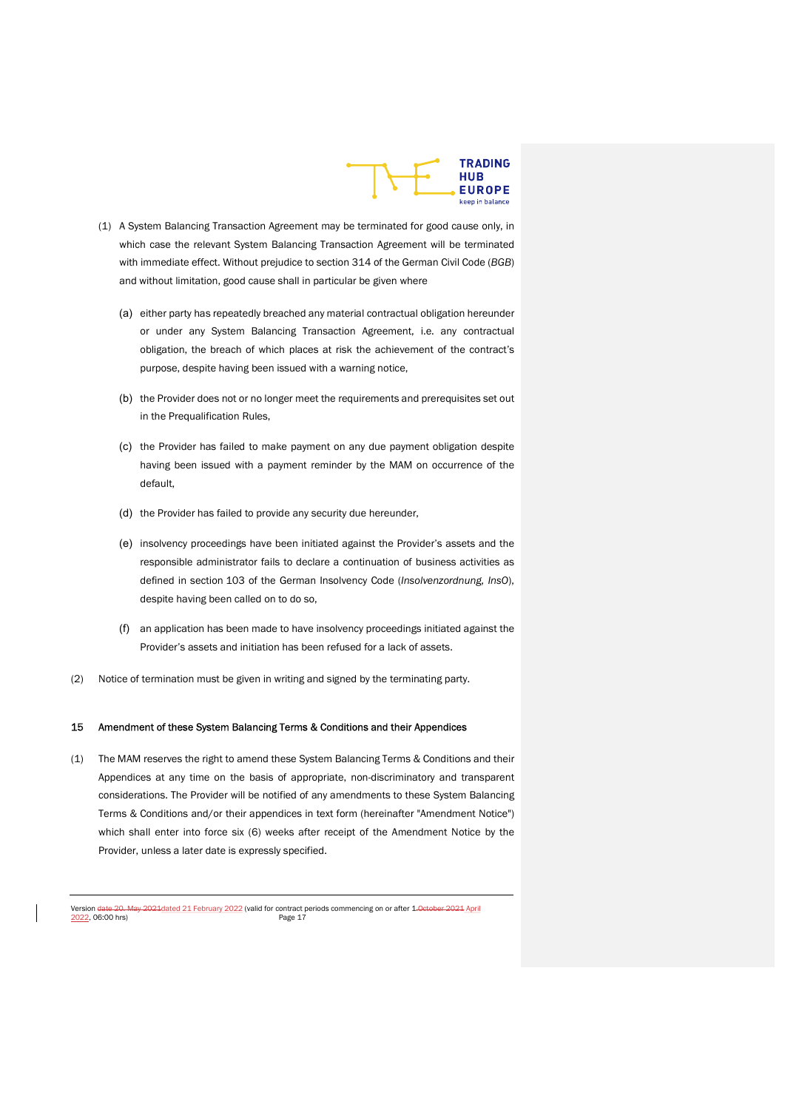

- (1) A System Balancing Transaction Agreement may be terminated for good cause only, in which case the relevant System Balancing Transaction Agreement will be terminated with immediate effect. Without prejudice to section 314 of the German Civil Code (BGB) and without limitation, good cause shall in particular be given where
	- (a) either party has repeatedly breached any material contractual obligation hereunder or under any System Balancing Transaction Agreement, i.e. any contractual obligation, the breach of which places at risk the achievement of the contract's purpose, despite having been issued with a warning notice,
	- (b) the Provider does not or no longer meet the requirements and prerequisites set out in the Prequalification Rules,
	- (c) the Provider has failed to make payment on any due payment obligation despite having been issued with a payment reminder by the MAM on occurrence of the default,
	- (d) the Provider has failed to provide any security due hereunder,
	- (e) insolvency proceedings have been initiated against the Provider's assets and the responsible administrator fails to declare a continuation of business activities as defined in section 103 of the German Insolvency Code (Insolvenzordnung, InsO), despite having been called on to do so,
	- (f) an application has been made to have insolvency proceedings initiated against the Provider's assets and initiation has been refused for a lack of assets.
- (2) Notice of termination must be given in writing and signed by the terminating party.

# 15 Amendment of these System Balancing Terms & Conditions and their Appendices

(1) The MAM reserves the right to amend these System Balancing Terms & Conditions and their Appendices at any time on the basis of appropriate, non-discriminatory and transparent considerations. The Provider will be notified of any amendments to these System Balancing Terms & Conditions and/or their appendices in text form (hereinafter "Amendment Notice") which shall enter into force six (6) weeks after receipt of the Amendment Notice by the Provider, unless a later date is expressly specified.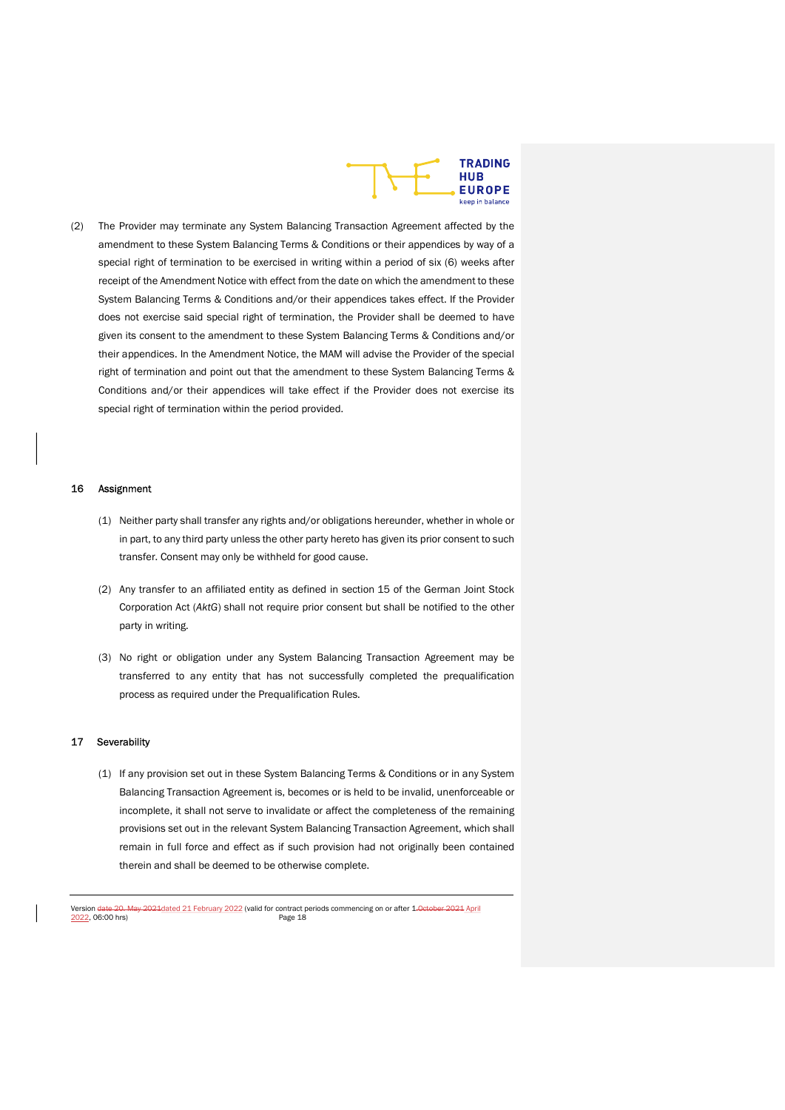

(2) The Provider may terminate any System Balancing Transaction Agreement affected by the amendment to these System Balancing Terms & Conditions or their appendices by way of a special right of termination to be exercised in writing within a period of six (6) weeks after receipt of the Amendment Notice with effect from the date on which the amendment to these System Balancing Terms & Conditions and/or their appendices takes effect. If the Provider does not exercise said special right of termination, the Provider shall be deemed to have given its consent to the amendment to these System Balancing Terms & Conditions and/or their appendices. In the Amendment Notice, the MAM will advise the Provider of the special right of termination and point out that the amendment to these System Balancing Terms & Conditions and/or their appendices will take effect if the Provider does not exercise its special right of termination within the period provided.

#### 16 Assignment

- (1) Neither party shall transfer any rights and/or obligations hereunder, whether in whole or in part, to any third party unless the other party hereto has given its prior consent to such transfer. Consent may only be withheld for good cause.
- (2) Any transfer to an affiliated entity as defined in section 15 of the German Joint Stock Corporation Act (AktG) shall not require prior consent but shall be notified to the other party in writing.
- (3) No right or obligation under any System Balancing Transaction Agreement may be transferred to any entity that has not successfully completed the prequalification process as required under the Prequalification Rules.

# 17 Severability

(1) If any provision set out in these System Balancing Terms & Conditions or in any System Balancing Transaction Agreement is, becomes or is held to be invalid, unenforceable or incomplete, it shall not serve to invalidate or affect the completeness of the remaining provisions set out in the relevant System Balancing Transaction Agreement, which shall remain in full force and effect as if such provision had not originally been contained therein and shall be deemed to be otherwise complete.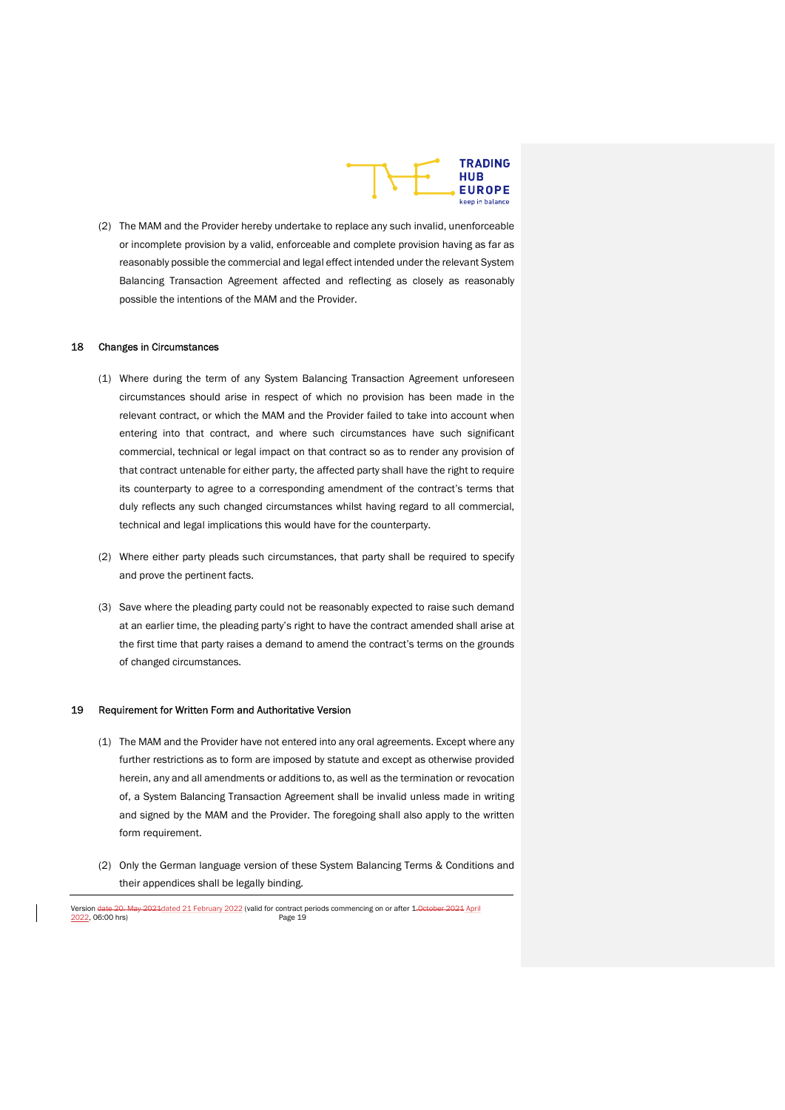

(2) The MAM and the Provider hereby undertake to replace any such invalid, unenforceable or incomplete provision by a valid, enforceable and complete provision having as far as reasonably possible the commercial and legal effect intended under the relevant System Balancing Transaction Agreement affected and reflecting as closely as reasonably possible the intentions of the MAM and the Provider.

#### 18 Changes in Circumstances

- (1) Where during the term of any System Balancing Transaction Agreement unforeseen circumstances should arise in respect of which no provision has been made in the relevant contract, or which the MAM and the Provider failed to take into account when entering into that contract, and where such circumstances have such significant commercial, technical or legal impact on that contract so as to render any provision of that contract untenable for either party, the affected party shall have the right to require its counterparty to agree to a corresponding amendment of the contract's terms that duly reflects any such changed circumstances whilst having regard to all commercial, technical and legal implications this would have for the counterparty.
- (2) Where either party pleads such circumstances, that party shall be required to specify and prove the pertinent facts.
- (3) Save where the pleading party could not be reasonably expected to raise such demand at an earlier time, the pleading party's right to have the contract amended shall arise at the first time that party raises a demand to amend the contract's terms on the grounds of changed circumstances.

#### 19 Requirement for Written Form and Authoritative Version

- (1) The MAM and the Provider have not entered into any oral agreements. Except where any further restrictions as to form are imposed by statute and except as otherwise provided herein, any and all amendments or additions to, as well as the termination or revocation of, a System Balancing Transaction Agreement shall be invalid unless made in writing and signed by the MAM and the Provider. The foregoing shall also apply to the written form requirement.
- (2) Only the German language version of these System Balancing Terms & Conditions and their appendices shall be legally binding.

Version date 20. May 2021 dated 21 February 2022 (valid for contract periods commencing on or after 1. October 2021 April<br>2022, 06:00 hrs) <u>2022</u>, 06:00 hrs)